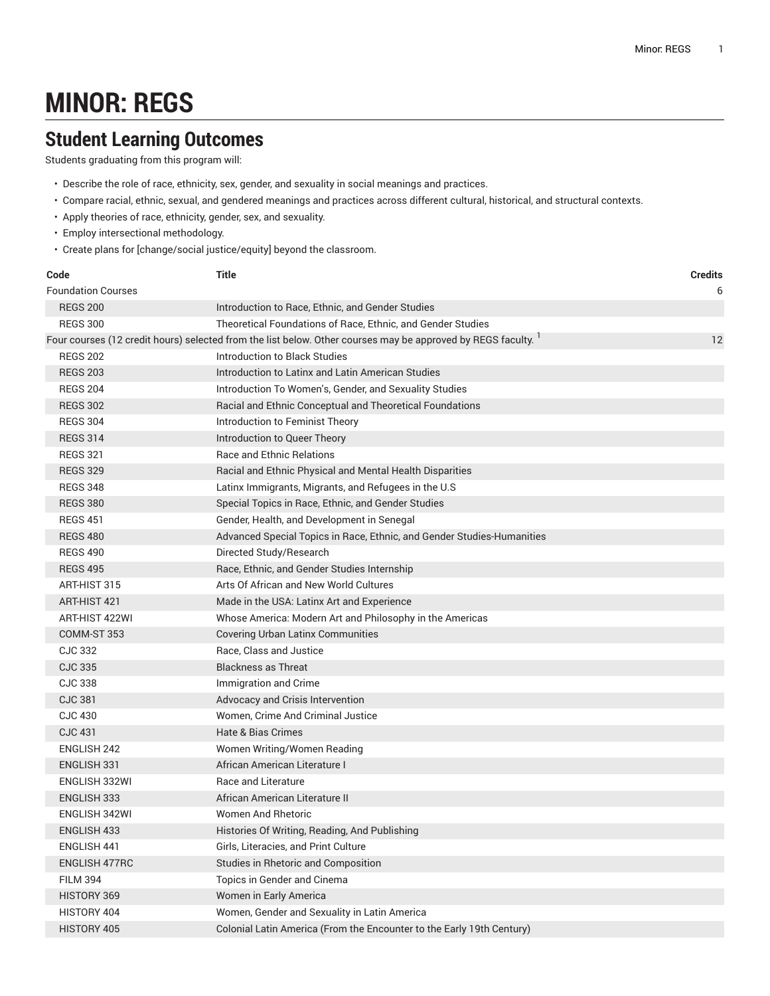## **MINOR: REGS**

## **Student Learning Outcomes**

Students graduating from this program will:

- Describe the role of race, ethnicity, sex, gender, and sexuality in social meanings and practices.
- Compare racial, ethnic, sexual, and gendered meanings and practices across different cultural, historical, and structural contexts.
- Apply theories of race, ethnicity, gender, sex, and sexuality.
- Employ intersectional methodology.
- Create plans for [change/social justice/equity] beyond the classroom.

| Code                                                                                                                     | Title                                                                  | <b>Credits</b> |
|--------------------------------------------------------------------------------------------------------------------------|------------------------------------------------------------------------|----------------|
| <b>Foundation Courses</b>                                                                                                |                                                                        | 6              |
| <b>REGS 200</b>                                                                                                          | Introduction to Race, Ethnic, and Gender Studies                       |                |
| <b>REGS 300</b>                                                                                                          | Theoretical Foundations of Race, Ethnic, and Gender Studies            |                |
| Four courses (12 credit hours) selected from the list below. Other courses may be approved by REGS faculty. <sup>1</sup> |                                                                        | 12             |
| <b>REGS 202</b>                                                                                                          | Introduction to Black Studies                                          |                |
| <b>REGS 203</b>                                                                                                          | Introduction to Latinx and Latin American Studies                      |                |
| <b>REGS 204</b>                                                                                                          | Introduction To Women's, Gender, and Sexuality Studies                 |                |
| <b>REGS 302</b>                                                                                                          | Racial and Ethnic Conceptual and Theoretical Foundations               |                |
| <b>REGS 304</b>                                                                                                          | Introduction to Feminist Theory                                        |                |
| <b>REGS 314</b>                                                                                                          | Introduction to Queer Theory                                           |                |
| <b>REGS 321</b>                                                                                                          | <b>Race and Ethnic Relations</b>                                       |                |
| <b>REGS 329</b>                                                                                                          | Racial and Ethnic Physical and Mental Health Disparities               |                |
| <b>REGS 348</b>                                                                                                          | Latinx Immigrants, Migrants, and Refugees in the U.S                   |                |
| <b>REGS 380</b>                                                                                                          | Special Topics in Race, Ethnic, and Gender Studies                     |                |
| <b>REGS 451</b>                                                                                                          | Gender, Health, and Development in Senegal                             |                |
| <b>REGS 480</b>                                                                                                          | Advanced Special Topics in Race, Ethnic, and Gender Studies-Humanities |                |
| <b>REGS 490</b>                                                                                                          | Directed Study/Research                                                |                |
| <b>REGS 495</b>                                                                                                          | Race, Ethnic, and Gender Studies Internship                            |                |
| ART-HIST 315                                                                                                             | Arts Of African and New World Cultures                                 |                |
| ART-HIST 421                                                                                                             | Made in the USA: Latinx Art and Experience                             |                |
| ART-HIST 422WI                                                                                                           | Whose America: Modern Art and Philosophy in the Americas               |                |
| COMM-ST 353                                                                                                              | <b>Covering Urban Latinx Communities</b>                               |                |
| <b>CJC 332</b>                                                                                                           | Race, Class and Justice                                                |                |
| <b>CJC 335</b>                                                                                                           | <b>Blackness as Threat</b>                                             |                |
| <b>CJC 338</b>                                                                                                           | Immigration and Crime                                                  |                |
| <b>CJC 381</b>                                                                                                           | Advocacy and Crisis Intervention                                       |                |
| <b>CJC 430</b>                                                                                                           | Women, Crime And Criminal Justice                                      |                |
| <b>CJC 431</b>                                                                                                           | Hate & Bias Crimes                                                     |                |
| <b>ENGLISH 242</b>                                                                                                       | Women Writing/Women Reading                                            |                |
| <b>ENGLISH 331</b>                                                                                                       | African American Literature I                                          |                |
| ENGLISH 332WI                                                                                                            | Race and Literature                                                    |                |
| <b>ENGLISH 333</b>                                                                                                       | African American Literature II                                         |                |
| ENGLISH 342WI                                                                                                            | <b>Women And Rhetoric</b>                                              |                |
| ENGLISH 433                                                                                                              | Histories Of Writing, Reading, And Publishing                          |                |
| <b>ENGLISH 441</b>                                                                                                       | Girls, Literacies, and Print Culture                                   |                |
| <b>ENGLISH 477RC</b>                                                                                                     | Studies in Rhetoric and Composition                                    |                |
| <b>FILM 394</b>                                                                                                          | Topics in Gender and Cinema                                            |                |
| HISTORY 369                                                                                                              | Women in Early America                                                 |                |
| HISTORY 404                                                                                                              | Women, Gender and Sexuality in Latin America                           |                |
| HISTORY 405                                                                                                              | Colonial Latin America (From the Encounter to the Early 19th Century)  |                |